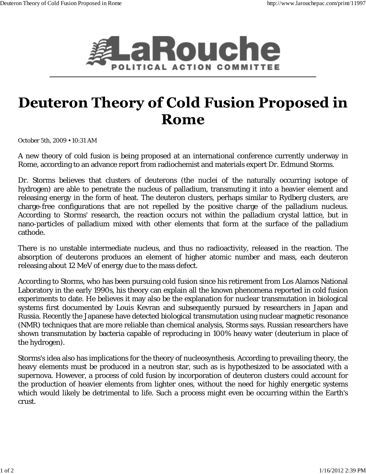

## **Deuteron Theory of Cold Fusion Proposed in** Rome

October 5th, 2009 • 10:31 AM

A new theory of cold fusion is being proposed at an international conference currently underway in Rome, according to an advance report from radiochemist and materials expert Dr. Edmund Storms.

Dr. Storms believes that clusters of deuterons (the nuclei of the naturally occurring isotope of hydrogen) are able to penetrate the nucleus of palladium, transmuting it into a heavier element and releasing energy in the form of heat. The deuteron clusters, perhaps similar to Rydberg clusters, are charge-free configurations that are not repelled by the positive charge of the palladium nucleus. According to Storms' research, the reaction occurs not within the palladium crystal lattice, but in nano-particles of palladium mixed with other elements that form at the surface of the palladium cathode.

There is no unstable intermediate nucleus, and thus no radioactivity, released in the reaction. The absorption of deuterons produces an element of higher atomic number and mass, each deuteron releasing about 12 MeV of energy due to the mass defect.

According to Storms, who has been pursuing cold fusion since his retirement from Los Alamos National Laboratory in the early 1990s, his theory can explain all the known phenomena reported in cold fusion experiments to date. He believes it may also be the explanation for nuclear transmutation in biological systems first documented by Louis Kevran and subsequently pursued by researchers in Japan and Russia. Recently the Japanese have detected biological transmutation using nuclear magnetic resonance (NMR) techniques that are more reliable than chemical analysis, Storms says. Russian researchers have shown transmutation by bacteria capable of reproducing in 100% heavy water (deuterium in place of the hydrogen).

Storms's idea also has implications for the theory of nucleosynthesis. According to prevailing theory, the heavy elements must be produced in a neutron star, such as is hypothesized to be associated with a supernova. However, a process of cold fusion by incorporation of deuteron clusters could account for the production of heavier elements from lighter ones, without the need for highly energetic systems which would likely be detrimental to life. Such a process might even be occurring within the Earth's crust.